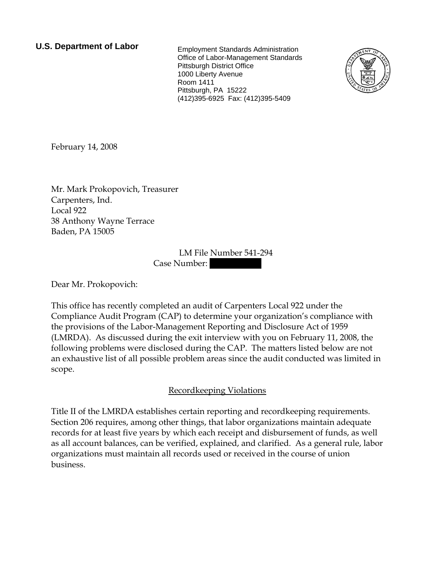# **U.S. Department of Labor** Employment Standards Administration

Office of Labor-Management Standards Pittsburgh District Office 1000 Liberty Avenue Room 1411 Pittsburgh, PA 15222 (412)395-6925 Fax: (412)395-5409



February 14, 2008

Mr. Mark Prokopovich, Treasurer Carpenters, Ind. Local 922 38 Anthony Wayne Terrace Baden, PA 15005

> LM File Number 541-294 Case Number:

Dear Mr. Prokopovich:

This office has recently completed an audit of Carpenters Local 922 under the Compliance Audit Program (CAP) to determine your organization's compliance with the provisions of the Labor-Management Reporting and Disclosure Act of 1959 (LMRDA). As discussed during the exit interview with you on February 11, 2008, the following problems were disclosed during the CAP. The matters listed below are not an exhaustive list of all possible problem areas since the audit conducted was limited in scope.

## Recordkeeping Violations

Title II of the LMRDA establishes certain reporting and recordkeeping requirements. Section 206 requires, among other things, that labor organizations maintain adequate records for at least five years by which each receipt and disbursement of funds, as well as all account balances, can be verified, explained, and clarified. As a general rule, labor organizations must maintain all records used or received in the course of union business.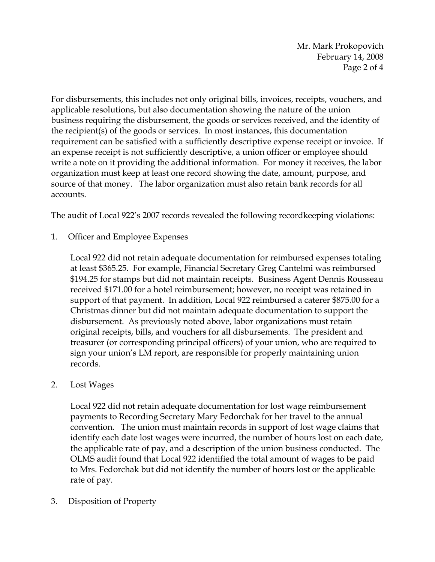Mr. Mark Prokopovich February 14, 2008 Page 2 of 4

For disbursements, this includes not only original bills, invoices, receipts, vouchers, and applicable resolutions, but also documentation showing the nature of the union business requiring the disbursement, the goods or services received, and the identity of the recipient(s) of the goods or services. In most instances, this documentation requirement can be satisfied with a sufficiently descriptive expense receipt or invoice. If an expense receipt is not sufficiently descriptive, a union officer or employee should write a note on it providing the additional information. For money it receives, the labor organization must keep at least one record showing the date, amount, purpose, and source of that money. The labor organization must also retain bank records for all accounts.

The audit of Local 922's 2007 records revealed the following recordkeeping violations:

1. Officer and Employee Expenses

Local 922 did not retain adequate documentation for reimbursed expenses totaling at least \$365.25. For example, Financial Secretary Greg Cantelmi was reimbursed \$194.25 for stamps but did not maintain receipts. Business Agent Dennis Rousseau received \$171.00 for a hotel reimbursement; however, no receipt was retained in support of that payment. In addition, Local 922 reimbursed a caterer \$875.00 for a Christmas dinner but did not maintain adequate documentation to support the disbursement. As previously noted above, labor organizations must retain original receipts, bills, and vouchers for all disbursements. The president and treasurer (or corresponding principal officers) of your union, who are required to sign your union's LM report, are responsible for properly maintaining union records.

#### 2. Lost Wages

 Local 922 did not retain adequate documentation for lost wage reimbursement payments to Recording Secretary Mary Fedorchak for her travel to the annual convention. The union must maintain records in support of lost wage claims that identify each date lost wages were incurred, the number of hours lost on each date, the applicable rate of pay, and a description of the union business conducted. The OLMS audit found that Local 922 identified the total amount of wages to be paid to Mrs. Fedorchak but did not identify the number of hours lost or the applicable rate of pay.

3. Disposition of Property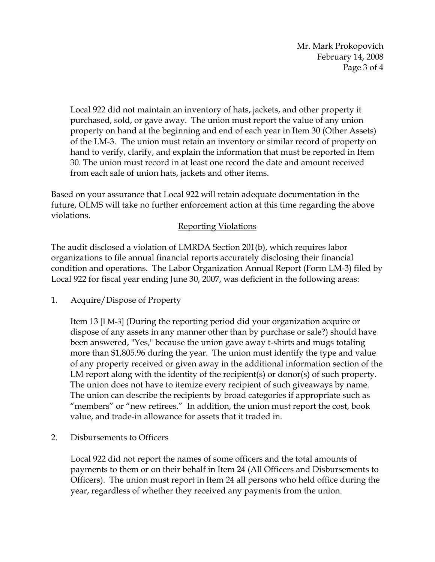Mr. Mark Prokopovich February 14, 2008 Page 3 of 4

Local 922 did not maintain an inventory of hats, jackets, and other property it purchased, sold, or gave away. The union must report the value of any union property on hand at the beginning and end of each year in Item 30 (Other Assets) of the LM-3. The union must retain an inventory or similar record of property on hand to verify, clarify, and explain the information that must be reported in Item 30. The union must record in at least one record the date and amount received from each sale of union hats, jackets and other items.

Based on your assurance that Local 922 will retain adequate documentation in the future, OLMS will take no further enforcement action at this time regarding the above violations.

### Reporting Violations

The audit disclosed a violation of LMRDA Section 201(b), which requires labor organizations to file annual financial reports accurately disclosing their financial condition and operations. The Labor Organization Annual Report (Form LM-3) filed by Local 922 for fiscal year ending June 30, 2007, was deficient in the following areas:

1. Acquire/Dispose of Property

Item 13 [LM-3] (During the reporting period did your organization acquire or dispose of any assets in any manner other than by purchase or sale?) should have been answered, "Yes," because the union gave away t-shirts and mugs totaling more than \$1,805.96 during the year. The union must identify the type and value of any property received or given away in the additional information section of the LM report along with the identity of the recipient(s) or donor(s) of such property. The union does not have to itemize every recipient of such giveaways by name. The union can describe the recipients by broad categories if appropriate such as "members" or "new retirees." In addition, the union must report the cost, book value, and trade-in allowance for assets that it traded in.

2. Disbursements to Officers

Local 922 did not report the names of some officers and the total amounts of payments to them or on their behalf in Item 24 (All Officers and Disbursements to Officers). The union must report in Item 24 all persons who held office during the year, regardless of whether they received any payments from the union.